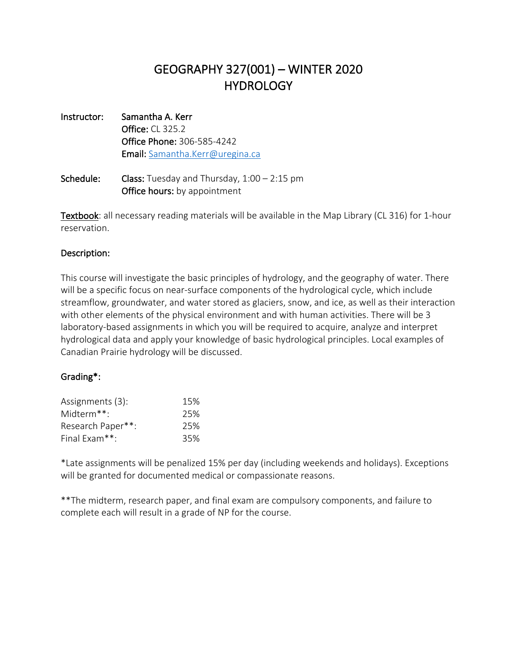## GEOGRAPHY 327(001) – WINTER 2020 **HYDROLOGY**

- Instructor: Samantha A. Kerr Office: CL 325.2 Office Phone: 306-585-4242 Email: Samantha.Kerr@uregina.ca
- **Schedule:** Class: Tuesday and Thursday,  $1:00 2:15$  pm Office hours: by appointment

**Textbook**: all necessary reading materials will be available in the Map Library (CL 316) for 1-hour reservation.

## Description:

This course will investigate the basic principles of hydrology, and the geography of water. There will be a specific focus on near-surface components of the hydrological cycle, which include streamflow, groundwater, and water stored as glaciers, snow, and ice, as well as their interaction with other elements of the physical environment and with human activities. There will be 3 laboratory-based assignments in which you will be required to acquire, analyze and interpret hydrological data and apply your knowledge of basic hydrological principles. Local examples of Canadian Prairie hydrology will be discussed.

## Grading\*:

| Assignments (3):  | 15% |
|-------------------|-----|
| Midterm**:        | 25% |
| Research Paper**: | 25% |
| Final Exam**:     | 35% |

\*Late assignments will be penalized 15% per day (including weekends and holidays). Exceptions will be granted for documented medical or compassionate reasons.

\*\*The midterm, research paper, and final exam are compulsory components, and failure to complete each will result in a grade of NP for the course.